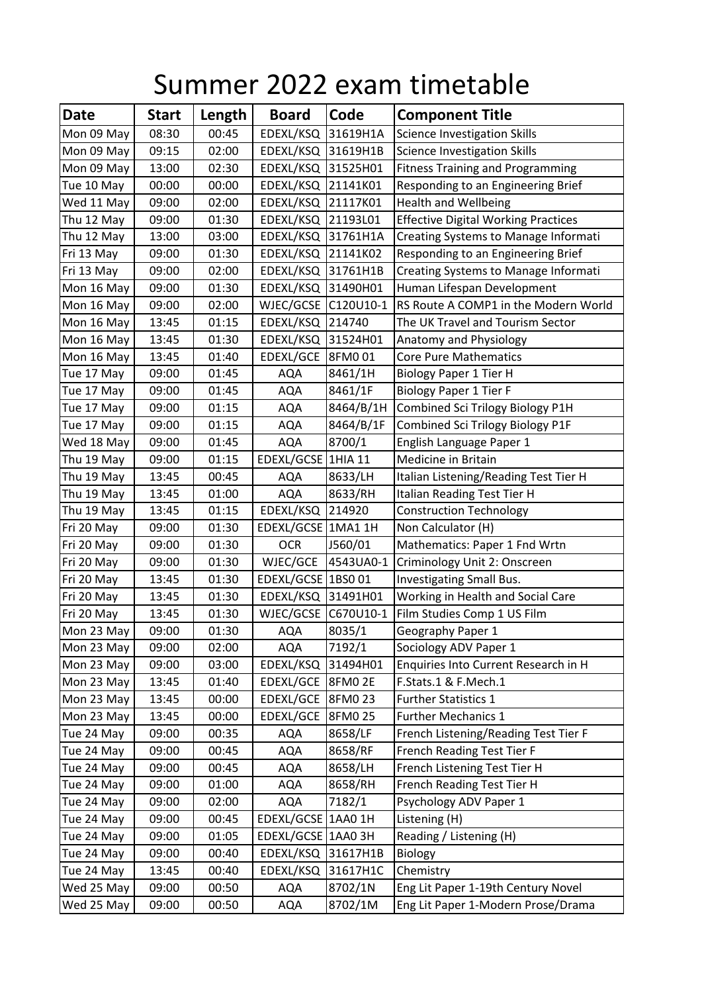## Summer 2022 exam timetable

| <b>Date</b> | <b>Start</b> | Length | <b>Board</b>        | Code      | <b>Component Title</b>                      |
|-------------|--------------|--------|---------------------|-----------|---------------------------------------------|
| Mon 09 May  | 08:30        | 00:45  | EDEXL/KSQ           | 31619H1A  | <b>Science Investigation Skills</b>         |
| Mon 09 May  | 09:15        | 02:00  | EDEXL/KSQ           | 31619H1B  | <b>Science Investigation Skills</b>         |
| Mon 09 May  | 13:00        | 02:30  | EDEXL/KSQ           | 31525H01  | <b>Fitness Training and Programming</b>     |
| Tue 10 May  | 00:00        | 00:00  | EDEXL/KSQ           | 21141K01  | Responding to an Engineering Brief          |
| Wed 11 May  | 09:00        | 02:00  | EDEXL/KSQ           | 21117K01  | <b>Health and Wellbeing</b>                 |
| Thu 12 May  | 09:00        | 01:30  | EDEXL/KSQ           | 21193L01  | <b>Effective Digital Working Practices</b>  |
| Thu 12 May  | 13:00        | 03:00  | EDEXL/KSQ           | 31761H1A  | <b>Creating Systems to Manage Informati</b> |
| Fri 13 May  | 09:00        | 01:30  | EDEXL/KSQ           | 21141K02  | Responding to an Engineering Brief          |
| Fri 13 May  | 09:00        | 02:00  | EDEXL/KSQ           | 31761H1B  | Creating Systems to Manage Informati        |
| Mon 16 May  | 09:00        | 01:30  | EDEXL/KSQ           | 31490H01  | Human Lifespan Development                  |
| Mon 16 May  | 09:00        | 02:00  | WJEC/GCSE           | C120U10-1 | RS Route A COMP1 in the Modern World        |
| Mon 16 May  | 13:45        | 01:15  | EDEXL/KSQ           | 214740    | The UK Travel and Tourism Sector            |
| Mon 16 May  | 13:45        | 01:30  | EDEXL/KSQ           | 31524H01  | Anatomy and Physiology                      |
| Mon 16 May  | 13:45        | 01:40  | EDEXL/GCE 8FM0 01   |           | <b>Core Pure Mathematics</b>                |
| Tue 17 May  | 09:00        | 01:45  | <b>AQA</b>          | 8461/1H   | <b>Biology Paper 1 Tier H</b>               |
| Tue 17 May  | 09:00        | 01:45  | <b>AQA</b>          | 8461/1F   | <b>Biology Paper 1 Tier F</b>               |
| Tue 17 May  | 09:00        | 01:15  | <b>AQA</b>          | 8464/B/1H | Combined Sci Trilogy Biology P1H            |
| Tue 17 May  | 09:00        | 01:15  | <b>AQA</b>          | 8464/B/1F | Combined Sci Trilogy Biology P1F            |
| Wed 18 May  | 09:00        | 01:45  | AQA                 | 8700/1    | English Language Paper 1                    |
| Thu 19 May  | 09:00        | 01:15  | EDEXL/GCSE 1HIA 11  |           | Medicine in Britain                         |
| Thu 19 May  | 13:45        | 00:45  | <b>AQA</b>          | 8633/LH   | Italian Listening/Reading Test Tier H       |
| Thu 19 May  | 13:45        | 01:00  | <b>AQA</b>          | 8633/RH   | Italian Reading Test Tier H                 |
| Thu 19 May  | 13:45        | 01:15  | EDEXL/KSQ           | 214920    | <b>Construction Technology</b>              |
| Fri 20 May  | 09:00        | 01:30  | EDEXL/GCSE 1MA1 1H  |           | Non Calculator (H)                          |
| Fri 20 May  | 09:00        | 01:30  | <b>OCR</b>          | J560/01   | Mathematics: Paper 1 Fnd Wrtn               |
| Fri 20 May  | 09:00        | 01:30  | WJEC/GCE            | 4543UA0-1 | Criminology Unit 2: Onscreen                |
| Fri 20 May  | 13:45        | 01:30  | EDEXL/GCSE 1BS0 01  |           | Investigating Small Bus.                    |
| Fri 20 May  | 13:45        | 01:30  | EDEXL/KSQ 31491H01  |           | Working in Health and Social Care           |
| Fri 20 May  | 13:45        | 01:30  | WJEC/GCSE C670U10-1 |           | Film Studies Comp 1 US Film                 |
| Mon 23 May  | 09:00        | 01:30  | <b>AQA</b>          | 8035/1    | Geography Paper 1                           |
| Mon 23 May  | 09:00        | 02:00  | AQA                 | 7192/1    | Sociology ADV Paper 1                       |
| Mon 23 May  | 09:00        | 03:00  | EDEXL/KSQ           | 31494H01  | Enquiries Into Current Research in H        |
| Mon 23 May  | 13:45        | 01:40  | EDEXL/GCE           | 8FM0 2E   | F.Stats.1 & F.Mech.1                        |
| Mon 23 May  | 13:45        | 00:00  | EDEXL/GCE 8FM0 23   |           | <b>Further Statistics 1</b>                 |
| Mon 23 May  | 13:45        | 00:00  | EDEXL/GCE           | 8FM0 25   | <b>Further Mechanics 1</b>                  |
| Tue 24 May  | 09:00        | 00:35  | AQA                 | 8658/LF   | French Listening/Reading Test Tier F        |
| Tue 24 May  | 09:00        | 00:45  | <b>AQA</b>          | 8658/RF   | French Reading Test Tier F                  |
| Tue 24 May  | 09:00        | 00:45  | AQA                 | 8658/LH   | French Listening Test Tier H                |
| Tue 24 May  | 09:00        | 01:00  | AQA                 | 8658/RH   | French Reading Test Tier H                  |
| Tue 24 May  | 09:00        | 02:00  | <b>AQA</b>          | 7182/1    | Psychology ADV Paper 1                      |
| Tue 24 May  | 09:00        | 00:45  | EDEXL/GCSE 1AA0 1H  |           | Listening (H)                               |
| Tue 24 May  | 09:00        | 01:05  | EDEXL/GCSE 1AA0 3H  |           | Reading / Listening (H)                     |
| Tue 24 May  | 09:00        | 00:40  | EDEXL/KSQ           | 31617H1B  | <b>Biology</b>                              |
| Tue 24 May  | 13:45        | 00:40  | EDEXL/KSQ           | 31617H1C  | Chemistry                                   |
| Wed 25 May  | 09:00        | 00:50  | <b>AQA</b>          | 8702/1N   | Eng Lit Paper 1-19th Century Novel          |
| Wed 25 May  | 09:00        | 00:50  | AQA                 | 8702/1M   | Eng Lit Paper 1-Modern Prose/Drama          |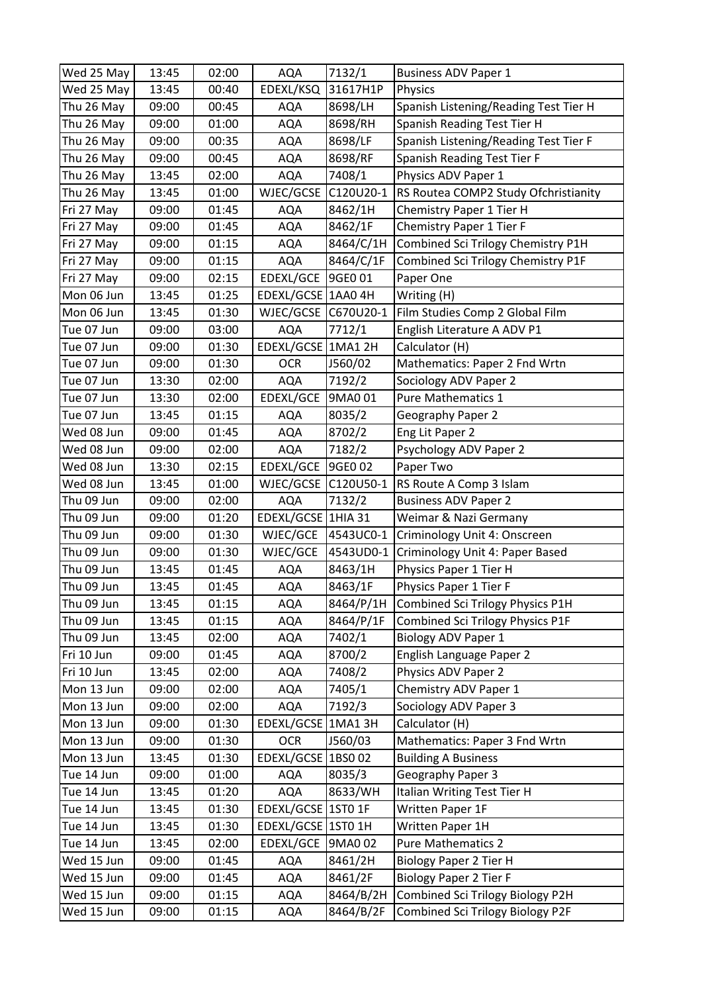| Wed 25 May | 13:45 | 02:00 | <b>AQA</b>         | 7132/1    | <b>Business ADV Paper 1</b>           |
|------------|-------|-------|--------------------|-----------|---------------------------------------|
| Wed 25 May | 13:45 | 00:40 | EDEXL/KSQ          | 31617H1P  | Physics                               |
| Thu 26 May | 09:00 | 00:45 | <b>AQA</b>         | 8698/LH   | Spanish Listening/Reading Test Tier H |
| Thu 26 May | 09:00 | 01:00 | <b>AQA</b>         | 8698/RH   | Spanish Reading Test Tier H           |
| Thu 26 May | 09:00 | 00:35 | <b>AQA</b>         | 8698/LF   | Spanish Listening/Reading Test Tier F |
| Thu 26 May | 09:00 | 00:45 | <b>AQA</b>         | 8698/RF   | Spanish Reading Test Tier F           |
| Thu 26 May | 13:45 | 02:00 | <b>AQA</b>         | 7408/1    | Physics ADV Paper 1                   |
| Thu 26 May | 13:45 | 01:00 | WJEC/GCSE          | C120U20-1 | RS Routea COMP2 Study Ofchristianity  |
| Fri 27 May | 09:00 | 01:45 | <b>AQA</b>         | 8462/1H   | Chemistry Paper 1 Tier H              |
| Fri 27 May | 09:00 | 01:45 | <b>AQA</b>         | 8462/1F   | Chemistry Paper 1 Tier F              |
| Fri 27 May | 09:00 | 01:15 | <b>AQA</b>         | 8464/C/1H | Combined Sci Trilogy Chemistry P1H    |
| Fri 27 May | 09:00 | 01:15 | <b>AQA</b>         | 8464/C/1F | Combined Sci Trilogy Chemistry P1F    |
| Fri 27 May | 09:00 | 02:15 | EDEXL/GCE          | 9GE0 01   | Paper One                             |
| Mon 06 Jun | 13:45 | 01:25 | EDEXL/GCSE 1AA0 4H |           | Writing (H)                           |
| Mon 06 Jun | 13:45 | 01:30 | WJEC/GCSE          | C670U20-1 | Film Studies Comp 2 Global Film       |
| Tue 07 Jun | 09:00 | 03:00 | <b>AQA</b>         | 7712/1    | English Literature A ADV P1           |
| Tue 07 Jun | 09:00 | 01:30 | EDEXL/GCSE 1MA1 2H |           | Calculator (H)                        |
| Tue 07 Jun | 09:00 | 01:30 | <b>OCR</b>         | J560/02   | Mathematics: Paper 2 Fnd Wrtn         |
| Tue 07 Jun | 13:30 | 02:00 | <b>AQA</b>         | 7192/2    | Sociology ADV Paper 2                 |
| Tue 07 Jun | 13:30 | 02:00 | EDEXL/GCE          | 9MA0 01   | Pure Mathematics 1                    |
| Tue 07 Jun | 13:45 | 01:15 | <b>AQA</b>         | 8035/2    | Geography Paper 2                     |
| Wed 08 Jun | 09:00 | 01:45 | <b>AQA</b>         | 8702/2    | Eng Lit Paper 2                       |
| Wed 08 Jun | 09:00 | 02:00 | <b>AQA</b>         | 7182/2    | Psychology ADV Paper 2                |
| Wed 08 Jun | 13:30 | 02:15 | EDEXL/GCE 9GE0 02  |           | Paper Two                             |
| Wed 08 Jun | 13:45 | 01:00 | WJEC/GCSE          | C120U50-1 | RS Route A Comp 3 Islam               |
| Thu 09 Jun | 09:00 | 02:00 | <b>AQA</b>         | 7132/2    | <b>Business ADV Paper 2</b>           |
| Thu 09 Jun | 09:00 | 01:20 | EDEXL/GCSE 1HIA 31 |           | Weimar & Nazi Germany                 |
| Thu 09 Jun | 09:00 | 01:30 | WJEC/GCE           | 4543UC0-1 | Criminology Unit 4: Onscreen          |
| Thu 09 Jun | 09:00 | 01:30 | WJEC/GCE           | 4543UD0-1 | Criminology Unit 4: Paper Based       |
| Thu 09 Jun | 13:45 | 01:45 | <b>AQA</b>         | 8463/1H   | Physics Paper 1 Tier H                |
| Thu 09 Jun | 13:45 | 01:45 | <b>AQA</b>         | 8463/1F   | Physics Paper 1 Tier F                |
| Thu 09 Jun | 13:45 | 01:15 | AQA                | 8464/P/1H | Combined Sci Trilogy Physics P1H      |
| Thu 09 Jun | 13:45 | 01:15 | AQA                | 8464/P/1F | Combined Sci Trilogy Physics P1F      |
| Thu 09 Jun | 13:45 | 02:00 | <b>AQA</b>         | 7402/1    | <b>Biology ADV Paper 1</b>            |
| Fri 10 Jun | 09:00 | 01:45 | <b>AQA</b>         | 8700/2    | English Language Paper 2              |
| Fri 10 Jun | 13:45 | 02:00 | <b>AQA</b>         | 7408/2    | Physics ADV Paper 2                   |
| Mon 13 Jun | 09:00 | 02:00 | <b>AQA</b>         | 7405/1    | Chemistry ADV Paper 1                 |
| Mon 13 Jun | 09:00 | 02:00 | AQA                | 7192/3    | Sociology ADV Paper 3                 |
| Mon 13 Jun | 09:00 | 01:30 | EDEXL/GCSE 1MA1 3H |           | Calculator (H)                        |
| Mon 13 Jun | 09:00 | 01:30 | <b>OCR</b>         | J560/03   | Mathematics: Paper 3 Fnd Wrtn         |
| Mon 13 Jun | 13:45 | 01:30 | EDEXL/GCSE 1BS0 02 |           | <b>Building A Business</b>            |
| Tue 14 Jun | 09:00 | 01:00 | <b>AQA</b>         | 8035/3    | Geography Paper 3                     |
| Tue 14 Jun | 13:45 | 01:20 | <b>AQA</b>         | 8633/WH   | Italian Writing Test Tier H           |
| Tue 14 Jun | 13:45 | 01:30 | EDEXL/GCSE 1ST0 1F |           | Written Paper 1F                      |
| Tue 14 Jun | 13:45 | 01:30 | EDEXL/GCSE 1ST0 1H |           | Written Paper 1H                      |
| Tue 14 Jun | 13:45 | 02:00 | EDEXL/GCE          | 9MA0 02   | <b>Pure Mathematics 2</b>             |
| Wed 15 Jun | 09:00 | 01:45 | <b>AQA</b>         | 8461/2H   | <b>Biology Paper 2 Tier H</b>         |
| Wed 15 Jun | 09:00 | 01:45 | <b>AQA</b>         | 8461/2F   | <b>Biology Paper 2 Tier F</b>         |
| Wed 15 Jun | 09:00 | 01:15 | <b>AQA</b>         | 8464/B/2H | Combined Sci Trilogy Biology P2H      |
| Wed 15 Jun | 09:00 | 01:15 | AQA                | 8464/B/2F | Combined Sci Trilogy Biology P2F      |